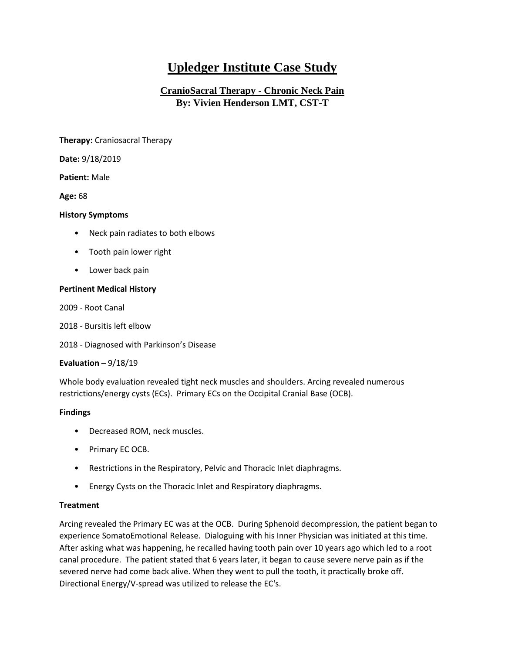# **Upledger Institute Case Study**

## **CranioSacral Therapy - Chronic Neck Pain By: Vivien Henderson LMT, CST-T**

**Therapy:** Craniosacral Therapy

**Date:** 9/18/2019

**Patient:** Male

**Age:** 68

#### **History Symptoms**

- Neck pain radiates to both elbows
- Tooth pain lower right
- Lower back pain

### **Pertinent Medical History**

2009 - Root Canal

2018 - Bursitis left elbow

2018 - Diagnosed with Parkinson's Disease

#### **Evaluation –** 9/18/19

Whole body evaluation revealed tight neck muscles and shoulders. Arcing revealed numerous restrictions/energy cysts (ECs). Primary ECs on the Occipital Cranial Base (OCB).

#### **Findings**

- Decreased ROM, neck muscles.
- Primary EC OCB.
- Restrictions in the Respiratory, Pelvic and Thoracic Inlet diaphragms.
- Energy Cysts on the Thoracic Inlet and Respiratory diaphragms.

#### **Treatment**

Arcing revealed the Primary EC was at the OCB. During Sphenoid decompression, the patient began to experience SomatoEmotional Release. Dialoguing with his Inner Physician was initiated at this time. After asking what was happening, he recalled having tooth pain over 10 years ago which led to a root canal procedure. The patient stated that 6 years later, it began to cause severe nerve pain as if the severed nerve had come back alive. When they went to pull the tooth, it practically broke off. Directional Energy/V-spread was utilized to release the EC's.